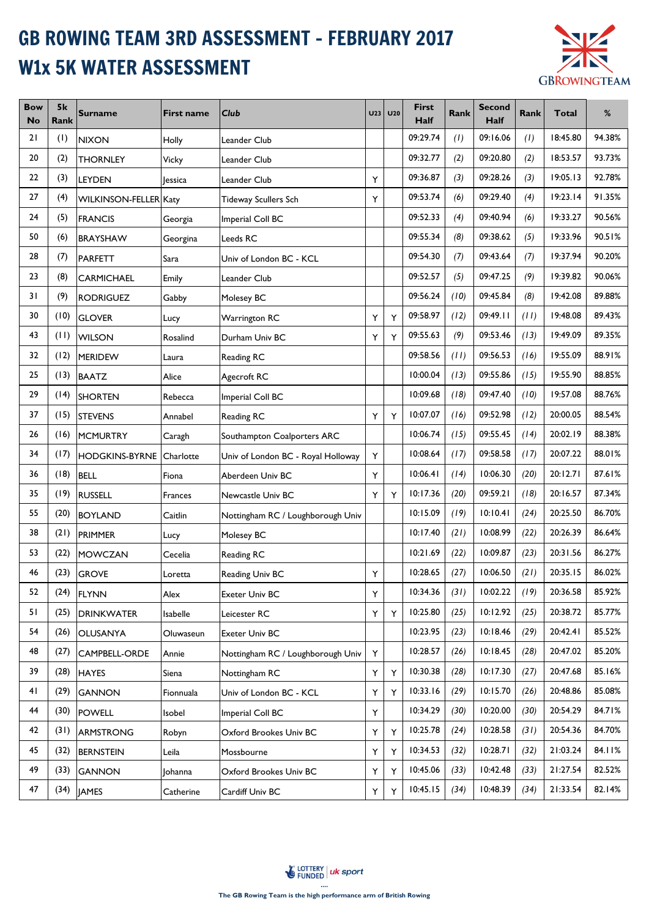## GB ROWING TEAM 3RD ASSESSMENT - FEBRUARY 2017 W1x 5K WATER ASSESSMENT



| <b>Bow</b><br>No | 5k<br>Rank | <b>Surname</b>        | <b>First name</b> | Club                               | U <sub>23</sub> | U20 | <b>First</b><br><b>Half</b> | <b>Rank</b> | <b>Second</b><br><b>Half</b> | <b>Rank</b> | <b>Total</b> | %      |
|------------------|------------|-----------------------|-------------------|------------------------------------|-----------------|-----|-----------------------------|-------------|------------------------------|-------------|--------------|--------|
| 21               | (1)        | <b>NIXON</b>          | Holly             | Leander Club                       |                 |     | 09:29.74                    | (1)         | 09:16.06                     | (1)         | 18:45.80     | 94.38% |
| 20               | (2)        | <b>THORNLEY</b>       | Vicky             | Leander Club                       |                 |     | 09:32.77                    | (2)         | 09:20.80                     | (2)         | 18:53.57     | 93.73% |
| 22               | (3)        | <b>LEYDEN</b>         | <b>Jessica</b>    | Leander Club                       | Y               |     | 09:36.87                    | (3)         | 09:28.26                     | (3)         | 19:05.13     | 92.78% |
| 27               | (4)        | WILKINSON-FELLER Katy |                   | <b>Tideway Scullers Sch</b>        | Υ               |     | 09:53.74                    | (6)         | 09:29.40                     | (4)         | 19:23.14     | 91.35% |
| 24               | (5)        | <b>FRANCIS</b>        | Georgia           | Imperial Coll BC                   |                 |     | 09:52.33                    | (4)         | 09:40.94                     | (6)         | 19:33.27     | 90.56% |
| 50               | (6)        | <b>BRAYSHAW</b>       | Georgina          | Leeds RC                           |                 |     | 09:55.34                    | (8)         | 09:38.62                     | (5)         | 19:33.96     | 90.51% |
| 28               | (7)        | <b>PARFETT</b>        | Sara              | Univ of London BC - KCL            |                 |     | 09:54.30                    | (7)         | 09:43.64                     | (7)         | 19:37.94     | 90.20% |
| 23               | (8)        | <b>CARMICHAEL</b>     | Emily             | Leander Club                       |                 |     | 09:52.57                    | (5)         | 09:47.25                     | (9)         | 19:39.82     | 90.06% |
| 31               | (9)        | <b>RODRIGUEZ</b>      | Gabby             | Molesey BC                         |                 |     | 09:56.24                    | (10)        | 09:45.84                     | (8)         | 19:42.08     | 89.88% |
| 30               | (10)       | <b>GLOVER</b>         | Lucy              | Warrington RC                      | Υ               | Υ   | 09:58.97                    | (12)        | 09:49.11                     | (11)        | 19:48.08     | 89.43% |
| 43               | (11)       | <b>WILSON</b>         | Rosalind          | Durham Univ BC                     | Υ               | Υ   | 09:55.63                    | (9)         | 09:53.46                     | (13)        | 19:49.09     | 89.35% |
| 32               | (12)       | <b>MERIDEW</b>        | Laura             | Reading RC                         |                 |     | 09:58.56                    | (11)        | 09:56.53                     | (16)        | 19:55.09     | 88.91% |
| 25               | (13)       | <b>BAATZ</b>          | Alice             | Agecroft RC                        |                 |     | 10:00.04                    | (13)        | 09:55.86                     | (15)        | 19:55.90     | 88.85% |
| 29               | (14)       | <b>SHORTEN</b>        | Rebecca           | Imperial Coll BC                   |                 |     | 10:09.68                    | (18)        | 09:47.40                     | (10)        | 19:57.08     | 88.76% |
| 37               | (15)       | <b>STEVENS</b>        | Annabel           | <b>Reading RC</b>                  | Υ               | Y   | 10:07.07                    | (16)        | 09:52.98                     | (12)        | 20:00.05     | 88.54% |
| 26               | (16)       | <b>MCMURTRY</b>       | Caragh            | Southampton Coalporters ARC        |                 |     | 10:06.74                    | (15)        | 09:55.45                     | (14)        | 20:02.19     | 88.38% |
| 34               | (17)       | <b>HODGKINS-BYRNE</b> | Charlotte         | Univ of London BC - Royal Holloway | Υ               |     | 10:08.64                    | (17)        | 09:58.58                     | (17)        | 20:07.22     | 88.01% |
| 36               | (18)       | <b>BELL</b>           | Fiona             | Aberdeen Univ BC                   | Υ               |     | 10:06.41                    | (14)        | 10:06.30                     | (20)        | 20:12.71     | 87.61% |
| 35               | (19)       | <b>RUSSELL</b>        | Frances           | Newcastle Univ BC                  | Υ               | Y   | 10:17.36                    | (20)        | 09:59.21                     | (18)        | 20:16.57     | 87.34% |
| 55               | (20)       | <b>BOYLAND</b>        | Caitlin           | Nottingham RC / Loughborough Univ  |                 |     | 10:15.09                    | (19)        | 10:10.41                     | (24)        | 20:25.50     | 86.70% |
| 38               | (21)       | PRIMMER               | Lucy              | Molesey BC                         |                 |     | 10:17.40                    | (21)        | 10:08.99                     | (22)        | 20:26.39     | 86.64% |
| 53               | (22)       | <b>MOWCZAN</b>        | Cecelia           | Reading RC                         |                 |     | 10:21.69                    | (22)        | 10:09.87                     | (23)        | 20:31.56     | 86.27% |
| 46               | (23)       | <b>GROVE</b>          | Loretta           | Reading Univ BC                    | Υ               |     | 10:28.65                    | (27)        | 10:06.50                     | (21)        | 20:35.15     | 86.02% |
| 52               | (24)       | <b>FLYNN</b>          | Alex              | Exeter Univ BC                     | Υ               |     | 10:34.36                    | (31)        | 10:02.22                     | (19)        | 20:36.58     | 85.92% |
| 51               | (25)       | <b>DRINKWATER</b>     | Isabelle          | Leicester RC                       | Υ               | Y   | 10:25.80                    | (25)        | 10:12.92                     | (25)        | 20:38.72     | 85.77% |
| 54               | (26)       | <b>OLUSANYA</b>       | Oluwaseun         | Exeter Univ BC                     |                 |     | 10:23.95                    | (23)        | 10:18.46                     | (29)        | 20:42.41     | 85.52% |
| 48               | (27)       | CAMPBELL-ORDE         | Annie             | Nottingham RC / Loughborough Univ  | Y               |     | 10:28.57                    | (26)        | 10:18.45                     | (28)        | 20:47.02     | 85.20% |
| 39               | (28)       | <b>HAYES</b>          | Siena             | Nottingham RC                      | Υ               | Υ   | 10:30.38                    | (28)        | 10:17.30                     | (27)        | 20:47.68     | 85.16% |
| 41               | (29)       | <b>GANNON</b>         | Fionnuala         | Univ of London BC - KCL            | Υ               | Y   | 10:33.16                    | (29)        | 10:15.70                     | (26)        | 20:48.86     | 85.08% |
| 44               | (30)       | <b>POWELL</b>         | Isobel            | Imperial Coll BC                   | Υ               |     | 10:34.29                    | (30)        | 10:20.00                     | (30)        | 20:54.29     | 84.71% |
| 42               | (31)       | <b>ARMSTRONG</b>      | Robyn             | Oxford Brookes Univ BC             | Υ               | Υ   | 10:25.78                    | (24)        | 10:28.58                     | (31)        | 20:54.36     | 84.70% |
| 45               | (32)       | <b>BERNSTEIN</b>      | Leila             | Mossbourne                         | Υ               | Υ   | 10:34.53                    | (32)        | 10:28.71                     | (32)        | 21:03.24     | 84.11% |
| 49               | (33)       | <b>GANNON</b>         | Johanna           | Oxford Brookes Univ BC             | Υ               | Y   | 10:45.06                    | (33)        | 10:42.48                     | (33)        | 21:27.54     | 82.52% |
| 47               | (34)       | <b>JAMES</b>          | Catherine         | Cardiff Univ BC                    | Y               | Υ   | 10:45.15                    | (34)        | 10:48.39                     | (34)        | 21:33.54     | 82.14% |